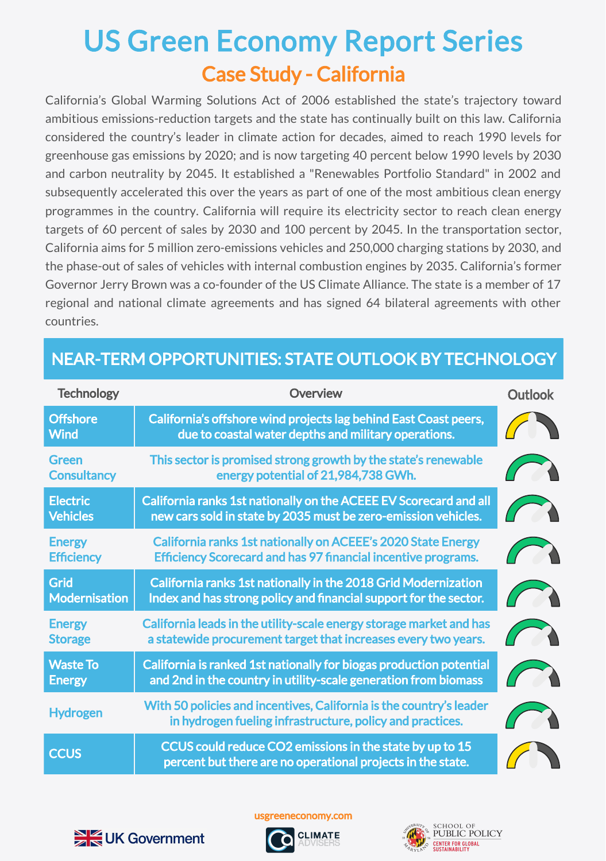## Case Study - California US Green Economy Report Series

California's Global Warming Solutions Act of 2006 established the state's trajectory toward ambitious emissions-reduction targets and the state has continually built on this law. California considered the country's leader in climate action for decades, aimed to reach 1990 levels for greenhouse gas emissions by 2020; and is now targeting 40 percent below 1990 levels by 2030 and carbon neutrality by 2045. It established a "Renewables Portfolio Standard" in 2002 and subsequently accelerated this over the years as part of one of the most ambitious clean energy programmes in the country. California will require its electricity sector to reach clean energy targets of 60 percent of sales by 2030 and 100 percent by 2045. In the transportation sector, California aims for 5 million zero-emissions vehicles and 250,000 charging stations by 2030, and the phase-out of sales of vehicles with internal combustion engines by 2035. California's former Governor Jerry Brown was a co-founder of the US Climate Alliance. The state is a member of 17 regional and national climate agreements and has signed 64 bilateral agreements with other countries.

## NEAR-TERM OPPORTUNITIES: STATE OUTLOOK BY TECHNOLOGY

| <b>Technology</b>                  | Overview                                                                                                                               | <b>Outlook</b> |
|------------------------------------|----------------------------------------------------------------------------------------------------------------------------------------|----------------|
| <b>Offshore</b><br><b>Wind</b>     | California's offshore wind projects lag behind East Coast peers,<br>due to coastal water depths and military operations.               |                |
| <b>Green</b><br><b>Consultancy</b> | This sector is promised strong growth by the state's renewable<br>energy potential of 21,984,738 GWh.                                  |                |
| <b>Electric</b><br><b>Vehicles</b> | California ranks 1st nationally on the ACEEE EV Scorecard and all<br>new cars sold in state by 2035 must be zero-emission vehicles.    |                |
| <b>Energy</b><br><b>Efficiency</b> | California ranks 1st nationally on ACEEE's 2020 State Energy<br><b>Efficiency Scorecard and has 97 financial incentive programs.</b>   |                |
| Grid<br><b>Modernisation</b>       | California ranks 1st nationally in the 2018 Grid Modernization<br>Index and has strong policy and financial support for the sector.    |                |
| <b>Energy</b><br><b>Storage</b>    | California leads in the utility-scale energy storage market and has<br>a statewide procurement target that increases every two years.  |                |
| <b>Waste To</b><br><b>Energy</b>   | California is ranked 1st nationally for biogas production potential<br>and 2nd in the country in utility-scale generation from biomass |                |
| <b>Hydrogen</b>                    | With 50 policies and incentives, California is the country's leader<br>in hydrogen fueling infrastructure, policy and practices.       |                |
| <b>CCUS</b>                        | CCUS could reduce CO2 emissions in the state by up to 15<br>percent but there are no operational projects in the state.                |                |



usgreeneconomy.com